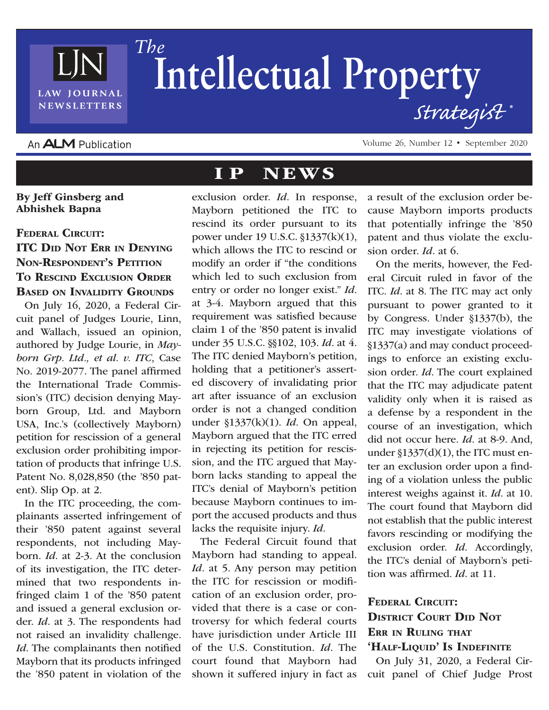

## The Intellectual Property Strategist

## An **ALM** Publication

Volume 26, Number 12 • September 2020

## IP NEWS

By Jeff Ginsberg and Abhishek Bapna FEDERAL CIRCUIT: ITC Did Not Err in Denying Non-Respondent's Petition To RESCIND EXCLUSION ORDER Based on Invalidity Grounds

On July 16, 2020, a Federal Circuit panel of Judges Lourie, Linn, and Wallach, issued an opinion, authored by Judge Lourie, in *Mayborn Grp. Ltd., et al. v. ITC*, Case No. 2019-2077. The panel affirmed the International Trade Commission's (ITC) decision denying Mayborn Group, Ltd. and Mayborn USA, Inc.'s (collectively Mayborn) petition for rescission of a general exclusion order prohibiting importation of products that infringe U.S. Patent No. 8,028,850 (the '850 patent). Slip Op. at 2.

In the ITC proceeding, the complainants asserted infringement of their '850 patent against several respondents, not including Mayborn. *Id*. at 2-3. At the conclusion of its investigation, the ITC determined that two respondents infringed claim 1 of the '850 patent and issued a general exclusion order. *Id*. at 3. The respondents had not raised an invalidity challenge. *Id*. The complainants then notified Mayborn that its products infringed the '850 patent in violation of the

exclusion order. *Id*. In response, Mayborn petitioned the ITC to rescind its order pursuant to its power under 19 U.S.C. §1337(k)(1), which allows the ITC to rescind or modify an order if "the conditions which led to such exclusion from entry or order no longer exist." *Id*. at 3-4. Mayborn argued that this requirement was satisfied because claim 1 of the '850 patent is invalid under 35 U.S.C. §§102, 103. *Id*. at 4. The ITC denied Mayborn's petition, holding that a petitioner's asserted discovery of invalidating prior art after issuance of an exclusion order is not a changed condition under §1337(k)(1). *Id*. On appeal, Mayborn argued that the ITC erred in rejecting its petition for rescission, and the ITC argued that Mayborn lacks standing to appeal the ITC's denial of Mayborn's petition because Mayborn continues to import the accused products and thus lacks the requisite injury. *Id*.

The Federal Circuit found that Mayborn had standing to appeal. *Id.* at 5. Any person may petition the ITC for rescission or modification of an exclusion order, provided that there is a case or controversy for which federal courts have jurisdiction under Article III of the U.S. Constitution. *Id*. The court found that Mayborn had shown it suffered injury in fact as

a result of the exclusion order because Mayborn imports products that potentially infringe the '850 patent and thus violate the exclusion order. *Id*. at 6.

On the merits, however, the Federal Circuit ruled in favor of the ITC. *Id*. at 8. The ITC may act only pursuant to power granted to it by Congress. Under §1337(b), the ITC may investigate violations of §1337(a) and may conduct proceedings to enforce an existing exclusion order. *Id*. The court explained that the ITC may adjudicate patent validity only when it is raised as a defense by a respondent in the course of an investigation, which did not occur here. *Id*. at 8-9. And, under §1337(d)(1), the ITC must enter an exclusion order upon a finding of a violation unless the public interest weighs against it. *Id*. at 10. The court found that Mayborn did not establish that the public interest favors rescinding or modifying the exclusion order. *Id*. Accordingly, the ITC's denial of Mayborn's petition was affirmed. *Id*. at 11.

## FEDERAL CIRCUIT: District Court Did Not ERR IN RULING THAT 'HALF-LIQUID' IS INDEFINITE

On July 31, 2020, a Federal Circuit panel of Chief Judge Prost